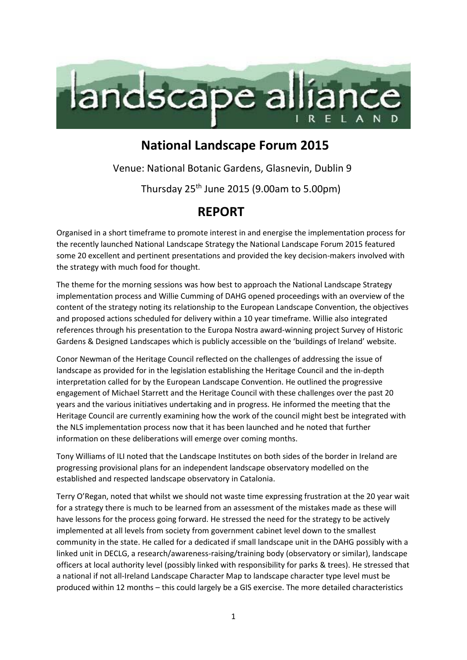

## **National Landscape Forum 2015**

Venue: National Botanic Gardens, Glasnevin, Dublin 9

Thursday 25th June 2015 (9.00am to 5.00pm)

## **REPORT**

Organised in a short timeframe to promote interest in and energise the implementation process for the recently launched National Landscape Strategy the National Landscape Forum 2015 featured some 20 excellent and pertinent presentations and provided the key decision-makers involved with the strategy with much food for thought.

The theme for the morning sessions was how best to approach the National Landscape Strategy implementation process and Willie Cumming of DAHG opened proceedings with an overview of the content of the strategy noting its relationship to the European Landscape Convention, the objectives and proposed actions scheduled for delivery within a 10 year timeframe. Willie also integrated references through his presentation to the Europa Nostra award-winning project Survey of Historic Gardens & Designed Landscapes which is publicly accessible on the 'buildings of Ireland' website.

Conor Newman of the Heritage Council reflected on the challenges of addressing the issue of landscape as provided for in the legislation establishing the Heritage Council and the in-depth interpretation called for by the European Landscape Convention. He outlined the progressive engagement of Michael Starrett and the Heritage Council with these challenges over the past 20 years and the various initiatives undertaking and in progress. He informed the meeting that the Heritage Council are currently examining how the work of the council might best be integrated with the NLS implementation process now that it has been launched and he noted that further information on these deliberations will emerge over coming months.

Tony Williams of ILI noted that the Landscape Institutes on both sides of the border in Ireland are progressing provisional plans for an independent landscape observatory modelled on the established and respected landscape observatory in Catalonia.

Terry O'Regan, noted that whilst we should not waste time expressing frustration at the 20 year wait for a strategy there is much to be learned from an assessment of the mistakes made as these will have lessons for the process going forward. He stressed the need for the strategy to be actively implemented at all levels from society from government cabinet level down to the smallest community in the state. He called for a dedicated if small landscape unit in the DAHG possibly with a linked unit in DECLG, a research/awareness-raising/training body (observatory or similar), landscape officers at local authority level (possibly linked with responsibility for parks & trees). He stressed that a national if not all-Ireland Landscape Character Map to landscape character type level must be produced within 12 months – this could largely be a GIS exercise. The more detailed characteristics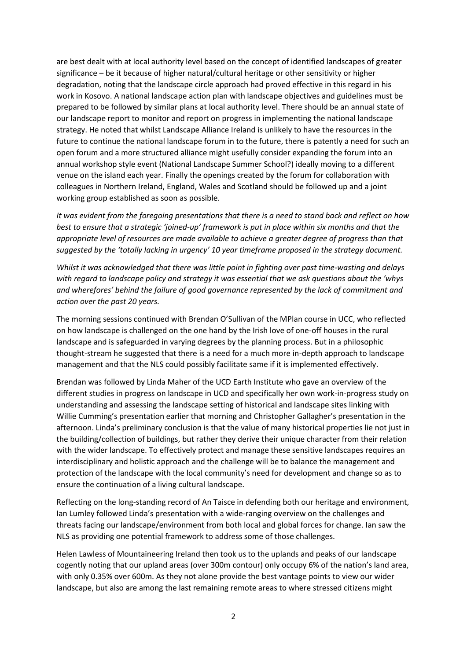are best dealt with at local authority level based on the concept of identified landscapes of greater significance – be it because of higher natural/cultural heritage or other sensitivity or higher degradation, noting that the landscape circle approach had proved effective in this regard in his work in Kosovo. A national landscape action plan with landscape objectives and guidelines must be prepared to be followed by similar plans at local authority level. There should be an annual state of our landscape report to monitor and report on progress in implementing the national landscape strategy. He noted that whilst Landscape Alliance Ireland is unlikely to have the resources in the future to continue the national landscape forum in to the future, there is patently a need for such an open forum and a more structured alliance might usefully consider expanding the forum into an annual workshop style event (National Landscape Summer School?) ideally moving to a different venue on the island each year. Finally the openings created by the forum for collaboration with colleagues in Northern Ireland, England, Wales and Scotland should be followed up and a joint working group established as soon as possible.

*It was evident from the foregoing presentations that there is a need to stand back and reflect on how best to ensure that a strategic 'joined-up' framework is put in place within six months and that the appropriate level of resources are made available to achieve a greater degree of progress than that suggested by the 'totally lacking in urgency' 10 year timeframe proposed in the strategy document.*

*Whilst it was acknowledged that there was little point in fighting over past time-wasting and delays with regard to landscape policy and strategy it was essential that we ask questions about the 'whys and wherefores' behind the failure of good governance represented by the lack of commitment and action over the past 20 years.* 

The morning sessions continued with Brendan O'Sullivan of the MPlan course in UCC, who reflected on how landscape is challenged on the one hand by the Irish love of one-off houses in the rural landscape and is safeguarded in varying degrees by the planning process. But in a philosophic thought-stream he suggested that there is a need for a much more in-depth approach to landscape management and that the NLS could possibly facilitate same if it is implemented effectively.

Brendan was followed by Linda Maher of the UCD Earth Institute who gave an overview of the different studies in progress on landscape in UCD and specifically her own work-in-progress study on understanding and assessing the landscape setting of historical and landscape sites linking with Willie Cumming's presentation earlier that morning and Christopher Gallagher's presentation in the afternoon. Linda's preliminary conclusion is that the value of many historical properties lie not just in the building/collection of buildings, but rather they derive their unique character from their relation with the wider landscape. To effectively protect and manage these sensitive landscapes requires an interdisciplinary and holistic approach and the challenge will be to balance the management and protection of the landscape with the local community's need for development and change so as to ensure the continuation of a living cultural landscape.

Reflecting on the long-standing record of An Taisce in defending both our heritage and environment, Ian Lumley followed Linda's presentation with a wide-ranging overview on the challenges and threats facing our landscape/environment from both local and global forces for change. Ian saw the NLS as providing one potential framework to address some of those challenges.

Helen Lawless of Mountaineering Ireland then took us to the uplands and peaks of our landscape cogently noting that our upland areas (over 300m contour) only occupy 6% of the nation's land area, with only 0.35% over 600m. As they not alone provide the best vantage points to view our wider landscape, but also are among the last remaining remote areas to where stressed citizens might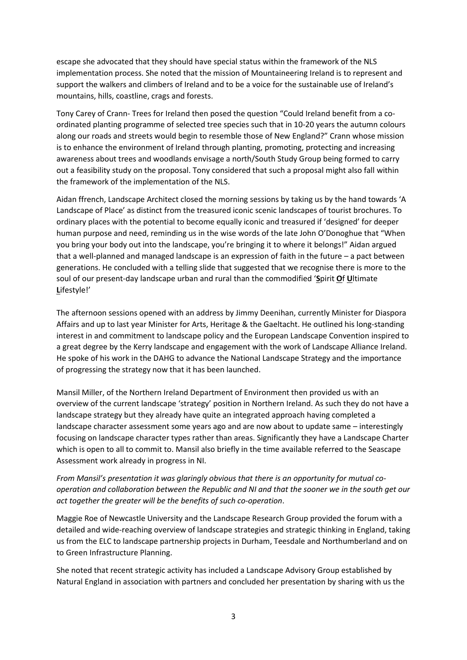escape she advocated that they should have special status within the framework of the NLS implementation process. She noted that the mission of Mountaineering Ireland is to represent and support the walkers and climbers of Ireland and to be a voice for the sustainable use of Ireland's mountains, hills, coastline, crags and forests.

Tony Carey of Crann- Trees for Ireland then posed the question "Could Ireland benefit from a coordinated planting programme of selected tree species such that in 10-20 years the autumn colours along our roads and streets would begin to resemble those of New England?" Crann whose mission is to enhance the environment of Ireland through planting, promoting, protecting and increasing awareness about trees and woodlands envisage a north/South Study Group being formed to carry out a feasibility study on the proposal. Tony considered that such a proposal might also fall within the framework of the implementation of the NLS.

Aidan ffrench, Landscape Architect closed the morning sessions by taking us by the hand towards 'A Landscape of Place' as distinct from the treasured iconic scenic landscapes of tourist brochures. To ordinary places with the potential to become equally iconic and treasured if 'designed' for deeper human purpose and need, reminding us in the wise words of the late John O'Donoghue that "When you bring your body out into the landscape, you're bringing it to where it belongs!" Aidan argued that a well-planned and managed landscape is an expression of faith in the future – a pact between generations. He concluded with a telling slide that suggested that we recognise there is more to the soul of our present-day landscape urban and rural than the commodified '**S**pirit **O**f **U**ltimate **L**ifestyle!'

The afternoon sessions opened with an address by Jimmy Deenihan, currently Minister for Diaspora Affairs and up to last year Minister for Arts, Heritage & the Gaeltacht. He outlined his long-standing interest in and commitment to landscape policy and the European Landscape Convention inspired to a great degree by the Kerry landscape and engagement with the work of Landscape Alliance Ireland. He spoke of his work in the DAHG to advance the National Landscape Strategy and the importance of progressing the strategy now that it has been launched.

Mansil Miller, of the Northern Ireland Department of Environment then provided us with an overview of the current landscape 'strategy' position in Northern Ireland. As such they do not have a landscape strategy but they already have quite an integrated approach having completed a landscape character assessment some years ago and are now about to update same – interestingly focusing on landscape character types rather than areas. Significantly they have a Landscape Charter which is open to all to commit to. Mansil also briefly in the time available referred to the Seascape Assessment work already in progress in NI.

*From Mansil's presentation it was glaringly obvious that there is an opportunity for mutual cooperation and collaboration between the Republic and NI and that the sooner we in the south get our act together the greater will be the benefits of such co-operation*.

Maggie Roe of Newcastle University and the Landscape Research Group provided the forum with a detailed and wide-reaching overview of landscape strategies and strategic thinking in England, taking us from the ELC to landscape partnership projects in Durham, Teesdale and Northumberland and on to Green Infrastructure Planning.

She noted that recent strategic activity has included a Landscape Advisory Group established by Natural England in association with partners and concluded her presentation by sharing with us the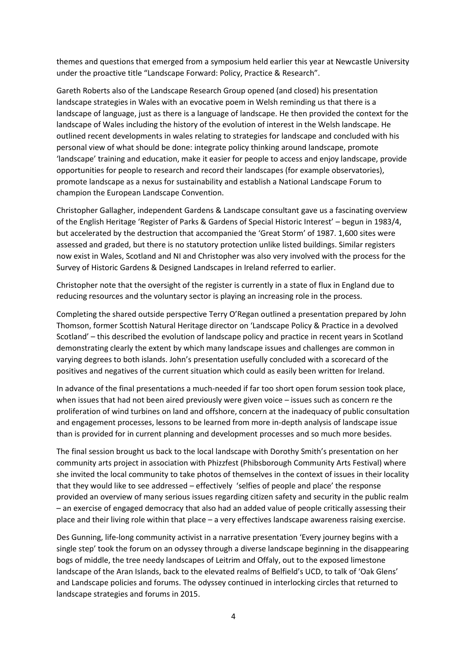themes and questions that emerged from a symposium held earlier this year at Newcastle University under the proactive title "Landscape Forward: Policy, Practice & Research".

Gareth Roberts also of the Landscape Research Group opened (and closed) his presentation landscape strategies in Wales with an evocative poem in Welsh reminding us that there is a landscape of language, just as there is a language of landscape. He then provided the context for the landscape of Wales including the history of the evolution of interest in the Welsh landscape. He outlined recent developments in wales relating to strategies for landscape and concluded with his personal view of what should be done: integrate policy thinking around landscape, promote 'landscape' training and education, make it easier for people to access and enjoy landscape, provide opportunities for people to research and record their landscapes (for example observatories), promote landscape as a nexus for sustainability and establish a National Landscape Forum to champion the European Landscape Convention.

Christopher Gallagher, independent Gardens & Landscape consultant gave us a fascinating overview of the English Heritage 'Register of Parks & Gardens of Special Historic Interest' – begun in 1983/4, but accelerated by the destruction that accompanied the 'Great Storm' of 1987. 1,600 sites were assessed and graded, but there is no statutory protection unlike listed buildings. Similar registers now exist in Wales, Scotland and NI and Christopher was also very involved with the process for the Survey of Historic Gardens & Designed Landscapes in Ireland referred to earlier.

Christopher note that the oversight of the register is currently in a state of flux in England due to reducing resources and the voluntary sector is playing an increasing role in the process.

Completing the shared outside perspective Terry O'Regan outlined a presentation prepared by John Thomson, former Scottish Natural Heritage director on 'Landscape Policy & Practice in a devolved Scotland' – this described the evolution of landscape policy and practice in recent years in Scotland demonstrating clearly the extent by which many landscape issues and challenges are common in varying degrees to both islands. John's presentation usefully concluded with a scorecard of the positives and negatives of the current situation which could as easily been written for Ireland.

In advance of the final presentations a much-needed if far too short open forum session took place, when issues that had not been aired previously were given voice – issues such as concern re the proliferation of wind turbines on land and offshore, concern at the inadequacy of public consultation and engagement processes, lessons to be learned from more in-depth analysis of landscape issue than is provided for in current planning and development processes and so much more besides.

The final session brought us back to the local landscape with Dorothy Smith's presentation on her community arts project in association with Phizzfest (Phibsborough Community Arts Festival) where she invited the local community to take photos of themselves in the context of issues in their locality that they would like to see addressed – effectively 'selfies of people and place' the response provided an overview of many serious issues regarding citizen safety and security in the public realm – an exercise of engaged democracy that also had an added value of people critically assessing their place and their living role within that place – a very effectives landscape awareness raising exercise.

Des Gunning, life-long community activist in a narrative presentation 'Every journey begins with a single step' took the forum on an odyssey through a diverse landscape beginning in the disappearing bogs of middle, the tree needy landscapes of Leitrim and Offaly, out to the exposed limestone landscape of the Aran Islands, back to the elevated realms of Belfield's UCD, to talk of 'Oak Glens' and Landscape policies and forums. The odyssey continued in interlocking circles that returned to landscape strategies and forums in 2015.